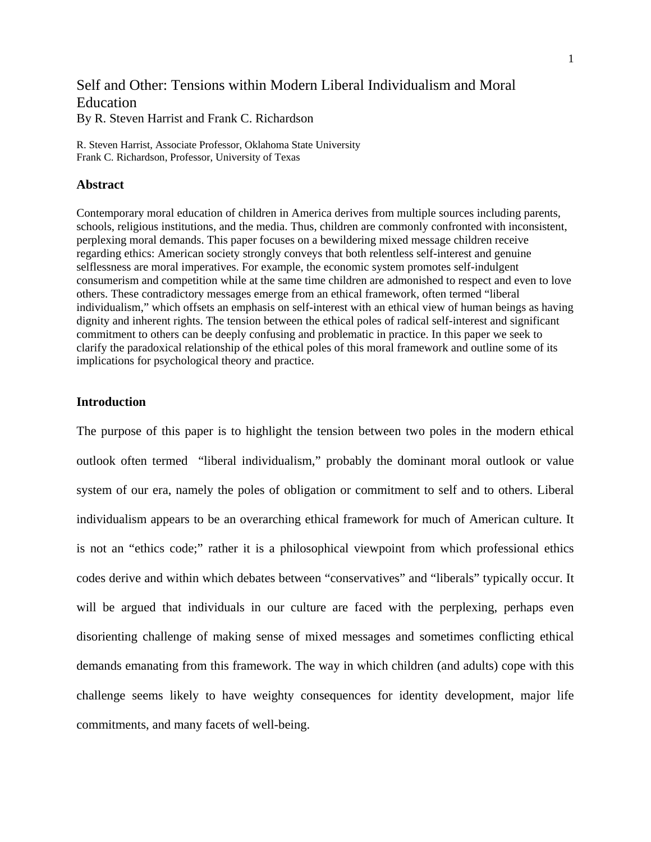## Self and Other: Tensions within Modern Liberal Individualism and Moral Education By R. Steven Harrist and Frank C. Richardson

R. Steven Harrist, Associate Professor, Oklahoma State University Frank C. Richardson, Professor, University of Texas

## **Abstract**

Contemporary moral education of children in America derives from multiple sources including parents, schools, religious institutions, and the media. Thus, children are commonly confronted with inconsistent, perplexing moral demands. This paper focuses on a bewildering mixed message children receive regarding ethics: American society strongly conveys that both relentless self-interest and genuine selflessness are moral imperatives. For example, the economic system promotes self-indulgent consumerism and competition while at the same time children are admonished to respect and even to love others. These contradictory messages emerge from an ethical framework, often termed "liberal individualism," which offsets an emphasis on self-interest with an ethical view of human beings as having dignity and inherent rights. The tension between the ethical poles of radical self-interest and significant commitment to others can be deeply confusing and problematic in practice. In this paper we seek to clarify the paradoxical relationship of the ethical poles of this moral framework and outline some of its implications for psychological theory and practice.

## **Introduction**

The purpose of this paper is to highlight the tension between two poles in the modern ethical outlook often termed "liberal individualism," probably the dominant moral outlook or value system of our era, namely the poles of obligation or commitment to self and to others. Liberal individualism appears to be an overarching ethical framework for much of American culture. It is not an "ethics code;" rather it is a philosophical viewpoint from which professional ethics codes derive and within which debates between "conservatives" and "liberals" typically occur. It will be argued that individuals in our culture are faced with the perplexing, perhaps even disorienting challenge of making sense of mixed messages and sometimes conflicting ethical demands emanating from this framework. The way in which children (and adults) cope with this challenge seems likely to have weighty consequences for identity development, major life commitments, and many facets of well-being.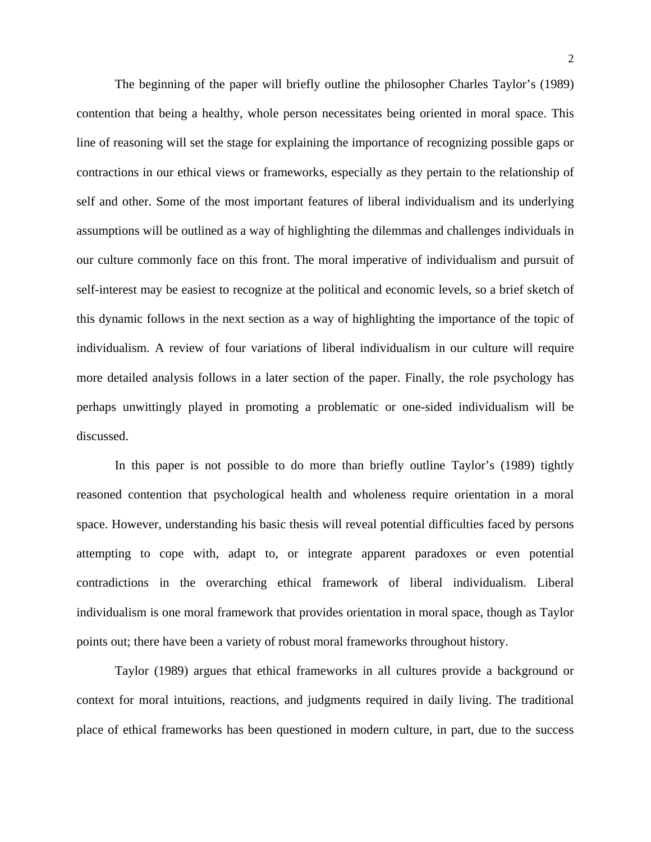The beginning of the paper will briefly outline the philosopher Charles Taylor's (1989) contention that being a healthy, whole person necessitates being oriented in moral space. This line of reasoning will set the stage for explaining the importance of recognizing possible gaps or contractions in our ethical views or frameworks, especially as they pertain to the relationship of self and other. Some of the most important features of liberal individualism and its underlying assumptions will be outlined as a way of highlighting the dilemmas and challenges individuals in our culture commonly face on this front. The moral imperative of individualism and pursuit of self-interest may be easiest to recognize at the political and economic levels, so a brief sketch of this dynamic follows in the next section as a way of highlighting the importance of the topic of individualism. A review of four variations of liberal individualism in our culture will require more detailed analysis follows in a later section of the paper. Finally, the role psychology has perhaps unwittingly played in promoting a problematic or one-sided individualism will be discussed.

In this paper is not possible to do more than briefly outline Taylor's (1989) tightly reasoned contention that psychological health and wholeness require orientation in a moral space. However, understanding his basic thesis will reveal potential difficulties faced by persons attempting to cope with, adapt to, or integrate apparent paradoxes or even potential contradictions in the overarching ethical framework of liberal individualism. Liberal individualism is one moral framework that provides orientation in moral space, though as Taylor points out; there have been a variety of robust moral frameworks throughout history.

 Taylor (1989) argues that ethical frameworks in all cultures provide a background or context for moral intuitions, reactions, and judgments required in daily living. The traditional place of ethical frameworks has been questioned in modern culture, in part, due to the success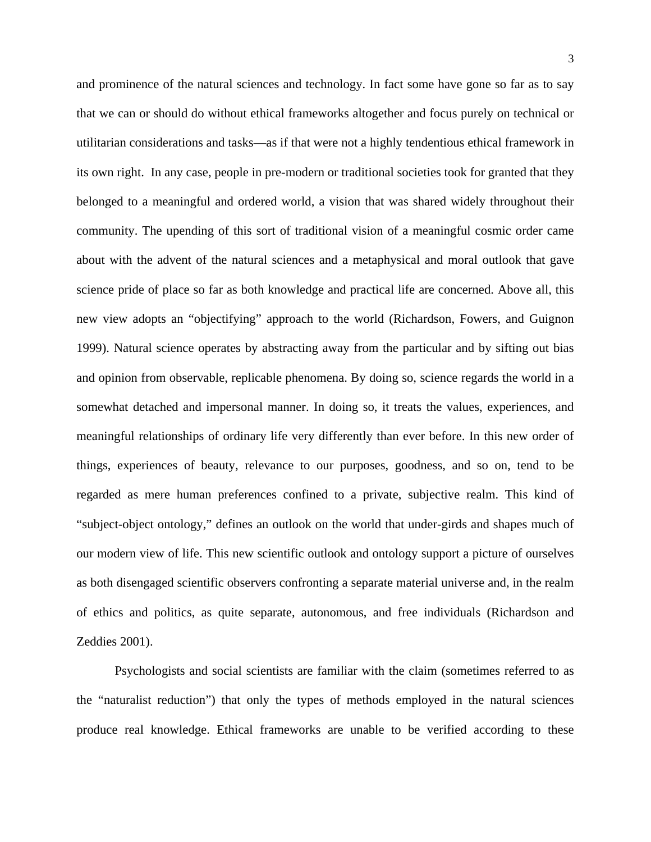and prominence of the natural sciences and technology. In fact some have gone so far as to say that we can or should do without ethical frameworks altogether and focus purely on technical or utilitarian considerations and tasks—as if that were not a highly tendentious ethical framework in its own right. In any case, people in pre-modern or traditional societies took for granted that they belonged to a meaningful and ordered world, a vision that was shared widely throughout their community. The upending of this sort of traditional vision of a meaningful cosmic order came about with the advent of the natural sciences and a metaphysical and moral outlook that gave science pride of place so far as both knowledge and practical life are concerned. Above all, this new view adopts an "objectifying" approach to the world (Richardson, Fowers, and Guignon 1999). Natural science operates by abstracting away from the particular and by sifting out bias and opinion from observable, replicable phenomena. By doing so, science regards the world in a somewhat detached and impersonal manner. In doing so, it treats the values, experiences, and meaningful relationships of ordinary life very differently than ever before. In this new order of things, experiences of beauty, relevance to our purposes, goodness, and so on, tend to be regarded as mere human preferences confined to a private, subjective realm. This kind of "subject-object ontology," defines an outlook on the world that under-girds and shapes much of our modern view of life. This new scientific outlook and ontology support a picture of ourselves as both disengaged scientific observers confronting a separate material universe and, in the realm of ethics and politics, as quite separate, autonomous, and free individuals (Richardson and Zeddies 2001).

Psychologists and social scientists are familiar with the claim (sometimes referred to as the "naturalist reduction") that only the types of methods employed in the natural sciences produce real knowledge. Ethical frameworks are unable to be verified according to these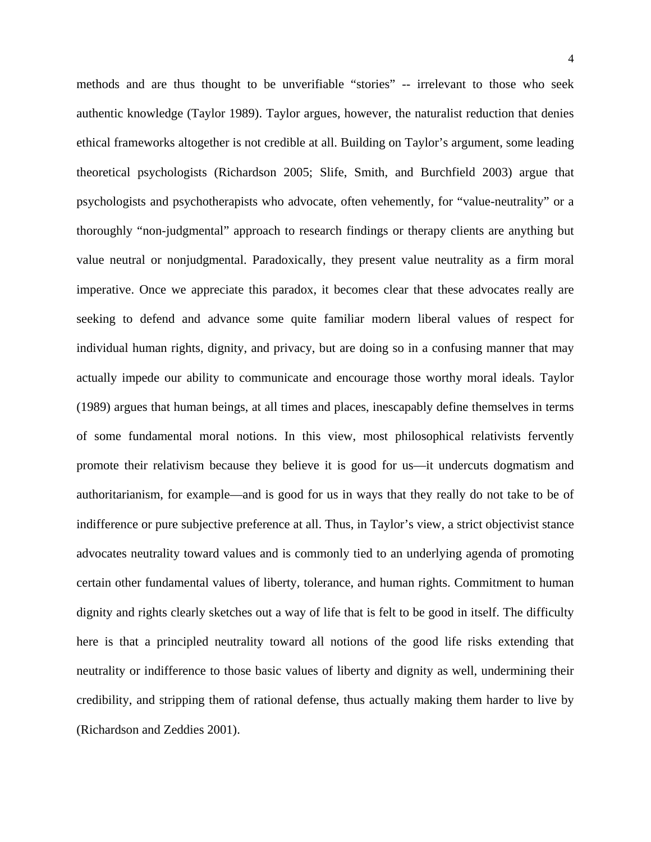methods and are thus thought to be unverifiable "stories" -- irrelevant to those who seek authentic knowledge (Taylor 1989). Taylor argues, however, the naturalist reduction that denies ethical frameworks altogether is not credible at all. Building on Taylor's argument, some leading theoretical psychologists (Richardson 2005; Slife, Smith, and Burchfield 2003) argue that psychologists and psychotherapists who advocate, often vehemently, for "value-neutrality" or a thoroughly "non-judgmental" approach to research findings or therapy clients are anything but value neutral or nonjudgmental. Paradoxically, they present value neutrality as a firm moral imperative. Once we appreciate this paradox, it becomes clear that these advocates really are seeking to defend and advance some quite familiar modern liberal values of respect for individual human rights, dignity, and privacy, but are doing so in a confusing manner that may actually impede our ability to communicate and encourage those worthy moral ideals. Taylor (1989) argues that human beings, at all times and places, inescapably define themselves in terms of some fundamental moral notions. In this view, most philosophical relativists fervently promote their relativism because they believe it is good for us—it undercuts dogmatism and authoritarianism, for example—and is good for us in ways that they really do not take to be of indifference or pure subjective preference at all. Thus, in Taylor's view, a strict objectivist stance advocates neutrality toward values and is commonly tied to an underlying agenda of promoting certain other fundamental values of liberty, tolerance, and human rights. Commitment to human dignity and rights clearly sketches out a way of life that is felt to be good in itself. The difficulty here is that a principled neutrality toward all notions of the good life risks extending that neutrality or indifference to those basic values of liberty and dignity as well, undermining their credibility, and stripping them of rational defense, thus actually making them harder to live by (Richardson and Zeddies 2001).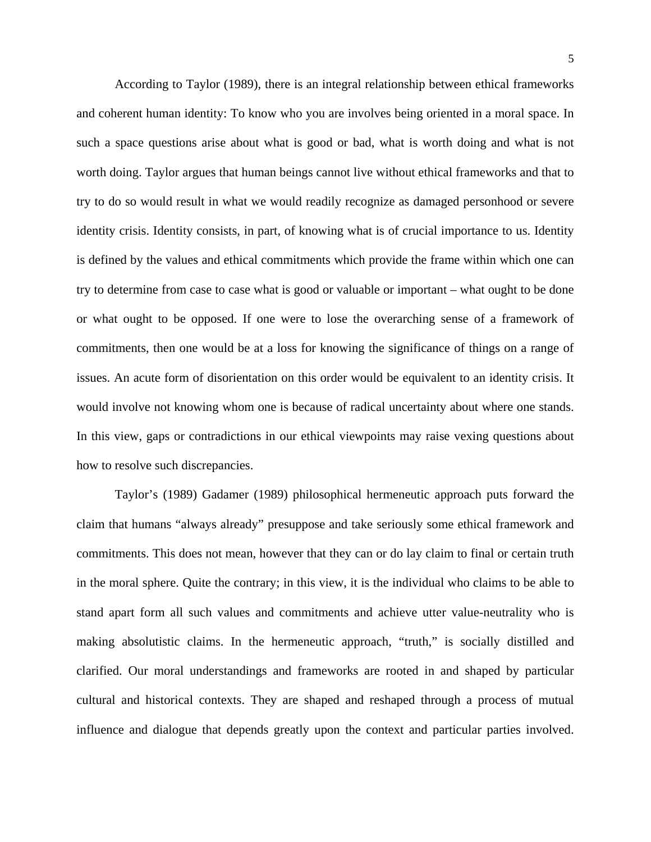According to Taylor (1989), there is an integral relationship between ethical frameworks and coherent human identity: To know who you are involves being oriented in a moral space. In such a space questions arise about what is good or bad, what is worth doing and what is not worth doing. Taylor argues that human beings cannot live without ethical frameworks and that to try to do so would result in what we would readily recognize as damaged personhood or severe identity crisis. Identity consists, in part, of knowing what is of crucial importance to us. Identity is defined by the values and ethical commitments which provide the frame within which one can try to determine from case to case what is good or valuable or important – what ought to be done or what ought to be opposed. If one were to lose the overarching sense of a framework of commitments, then one would be at a loss for knowing the significance of things on a range of issues. An acute form of disorientation on this order would be equivalent to an identity crisis. It would involve not knowing whom one is because of radical uncertainty about where one stands. In this view, gaps or contradictions in our ethical viewpoints may raise vexing questions about how to resolve such discrepancies.

Taylor's (1989) Gadamer (1989) philosophical hermeneutic approach puts forward the claim that humans "always already" presuppose and take seriously some ethical framework and commitments. This does not mean, however that they can or do lay claim to final or certain truth in the moral sphere. Quite the contrary; in this view, it is the individual who claims to be able to stand apart form all such values and commitments and achieve utter value-neutrality who is making absolutistic claims. In the hermeneutic approach, "truth," is socially distilled and clarified. Our moral understandings and frameworks are rooted in and shaped by particular cultural and historical contexts. They are shaped and reshaped through a process of mutual influence and dialogue that depends greatly upon the context and particular parties involved.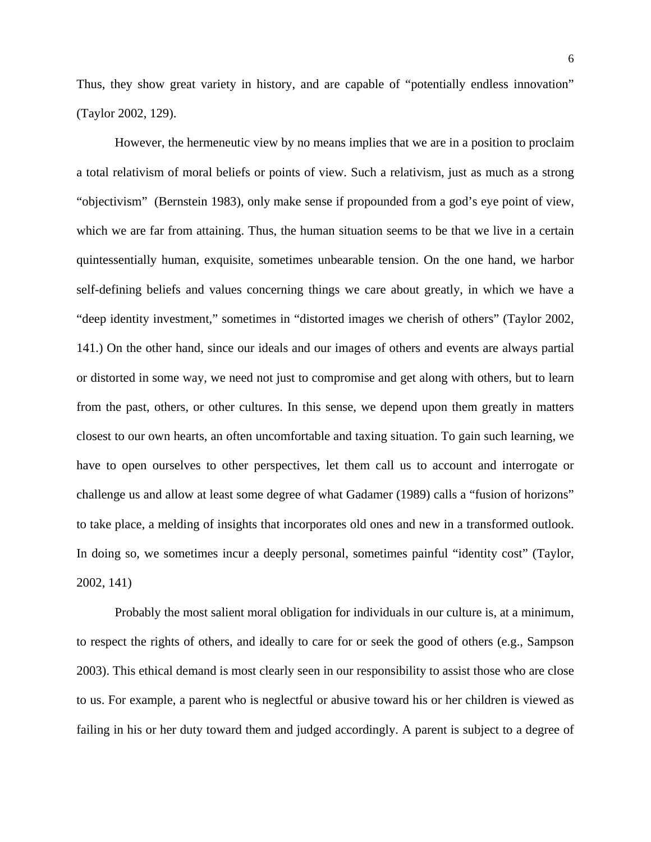Thus, they show great variety in history, and are capable of "potentially endless innovation" (Taylor 2002, 129).

However, the hermeneutic view by no means implies that we are in a position to proclaim a total relativism of moral beliefs or points of view. Such a relativism, just as much as a strong "objectivism" (Bernstein 1983), only make sense if propounded from a god's eye point of view, which we are far from attaining. Thus, the human situation seems to be that we live in a certain quintessentially human, exquisite, sometimes unbearable tension. On the one hand, we harbor self-defining beliefs and values concerning things we care about greatly, in which we have a "deep identity investment," sometimes in "distorted images we cherish of others" (Taylor 2002, 141.) On the other hand, since our ideals and our images of others and events are always partial or distorted in some way, we need not just to compromise and get along with others, but to learn from the past, others, or other cultures. In this sense, we depend upon them greatly in matters closest to our own hearts, an often uncomfortable and taxing situation. To gain such learning, we have to open ourselves to other perspectives, let them call us to account and interrogate or challenge us and allow at least some degree of what Gadamer (1989) calls a "fusion of horizons" to take place, a melding of insights that incorporates old ones and new in a transformed outlook. In doing so, we sometimes incur a deeply personal, sometimes painful "identity cost" (Taylor, 2002, 141)

Probably the most salient moral obligation for individuals in our culture is, at a minimum, to respect the rights of others, and ideally to care for or seek the good of others (e.g., Sampson 2003). This ethical demand is most clearly seen in our responsibility to assist those who are close to us. For example, a parent who is neglectful or abusive toward his or her children is viewed as failing in his or her duty toward them and judged accordingly. A parent is subject to a degree of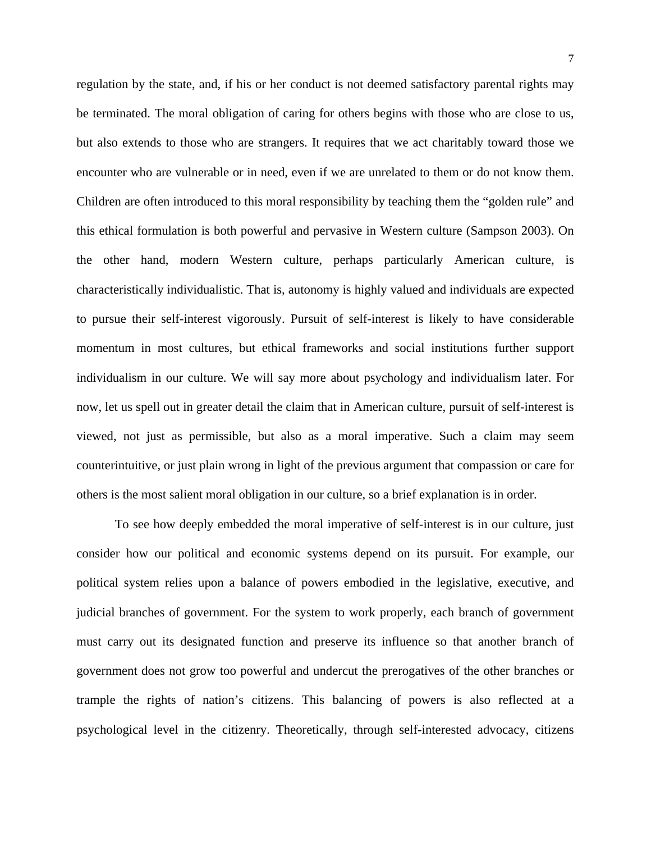regulation by the state, and, if his or her conduct is not deemed satisfactory parental rights may be terminated. The moral obligation of caring for others begins with those who are close to us, but also extends to those who are strangers. It requires that we act charitably toward those we encounter who are vulnerable or in need, even if we are unrelated to them or do not know them. Children are often introduced to this moral responsibility by teaching them the "golden rule" and this ethical formulation is both powerful and pervasive in Western culture (Sampson 2003). On the other hand, modern Western culture, perhaps particularly American culture, is characteristically individualistic. That is, autonomy is highly valued and individuals are expected to pursue their self-interest vigorously. Pursuit of self-interest is likely to have considerable momentum in most cultures, but ethical frameworks and social institutions further support individualism in our culture. We will say more about psychology and individualism later. For now, let us spell out in greater detail the claim that in American culture, pursuit of self-interest is viewed, not just as permissible, but also as a moral imperative. Such a claim may seem counterintuitive, or just plain wrong in light of the previous argument that compassion or care for others is the most salient moral obligation in our culture, so a brief explanation is in order.

To see how deeply embedded the moral imperative of self-interest is in our culture, just consider how our political and economic systems depend on its pursuit. For example, our political system relies upon a balance of powers embodied in the legislative, executive, and judicial branches of government. For the system to work properly, each branch of government must carry out its designated function and preserve its influence so that another branch of government does not grow too powerful and undercut the prerogatives of the other branches or trample the rights of nation's citizens. This balancing of powers is also reflected at a psychological level in the citizenry. Theoretically, through self-interested advocacy, citizens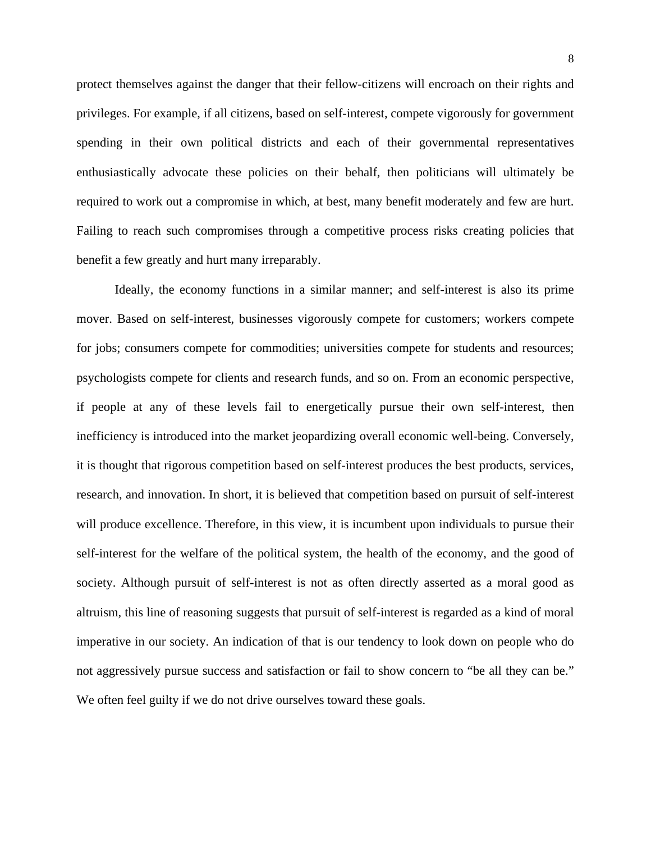protect themselves against the danger that their fellow-citizens will encroach on their rights and privileges. For example, if all citizens, based on self-interest, compete vigorously for government spending in their own political districts and each of their governmental representatives enthusiastically advocate these policies on their behalf, then politicians will ultimately be required to work out a compromise in which, at best, many benefit moderately and few are hurt. Failing to reach such compromises through a competitive process risks creating policies that benefit a few greatly and hurt many irreparably.

Ideally, the economy functions in a similar manner; and self-interest is also its prime mover. Based on self-interest, businesses vigorously compete for customers; workers compete for jobs; consumers compete for commodities; universities compete for students and resources; psychologists compete for clients and research funds, and so on. From an economic perspective, if people at any of these levels fail to energetically pursue their own self-interest, then inefficiency is introduced into the market jeopardizing overall economic well-being. Conversely, it is thought that rigorous competition based on self-interest produces the best products, services, research, and innovation. In short, it is believed that competition based on pursuit of self-interest will produce excellence. Therefore, in this view, it is incumbent upon individuals to pursue their self-interest for the welfare of the political system, the health of the economy, and the good of society. Although pursuit of self-interest is not as often directly asserted as a moral good as altruism, this line of reasoning suggests that pursuit of self-interest is regarded as a kind of moral imperative in our society. An indication of that is our tendency to look down on people who do not aggressively pursue success and satisfaction or fail to show concern to "be all they can be." We often feel guilty if we do not drive ourselves toward these goals.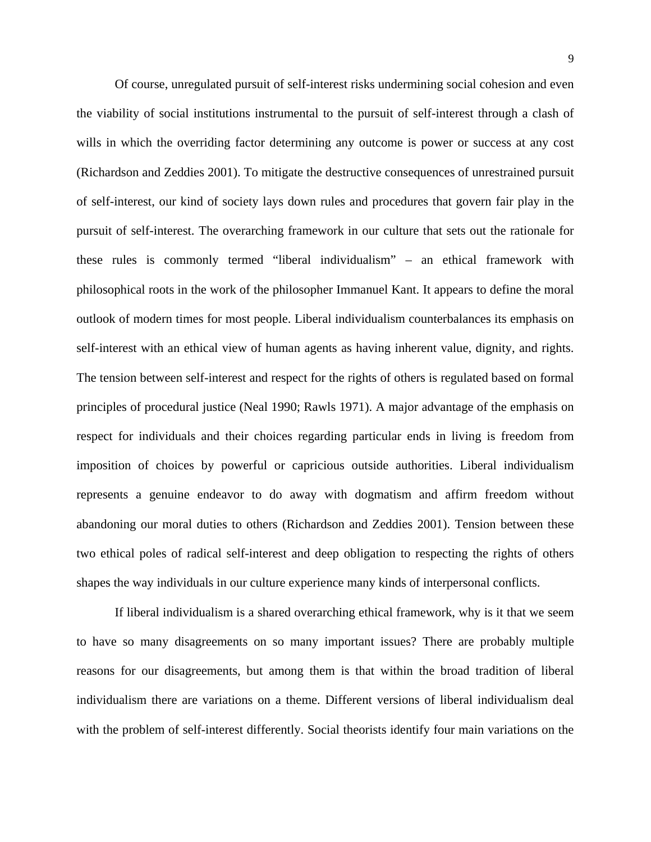Of course, unregulated pursuit of self-interest risks undermining social cohesion and even the viability of social institutions instrumental to the pursuit of self-interest through a clash of wills in which the overriding factor determining any outcome is power or success at any cost (Richardson and Zeddies 2001). To mitigate the destructive consequences of unrestrained pursuit of self-interest, our kind of society lays down rules and procedures that govern fair play in the pursuit of self-interest. The overarching framework in our culture that sets out the rationale for these rules is commonly termed "liberal individualism" – an ethical framework with philosophical roots in the work of the philosopher Immanuel Kant. It appears to define the moral outlook of modern times for most people. Liberal individualism counterbalances its emphasis on self-interest with an ethical view of human agents as having inherent value, dignity, and rights. The tension between self-interest and respect for the rights of others is regulated based on formal principles of procedural justice (Neal 1990; Rawls 1971). A major advantage of the emphasis on respect for individuals and their choices regarding particular ends in living is freedom from imposition of choices by powerful or capricious outside authorities. Liberal individualism represents a genuine endeavor to do away with dogmatism and affirm freedom without abandoning our moral duties to others (Richardson and Zeddies 2001). Tension between these two ethical poles of radical self-interest and deep obligation to respecting the rights of others shapes the way individuals in our culture experience many kinds of interpersonal conflicts.

If liberal individualism is a shared overarching ethical framework, why is it that we seem to have so many disagreements on so many important issues? There are probably multiple reasons for our disagreements, but among them is that within the broad tradition of liberal individualism there are variations on a theme. Different versions of liberal individualism deal with the problem of self-interest differently. Social theorists identify four main variations on the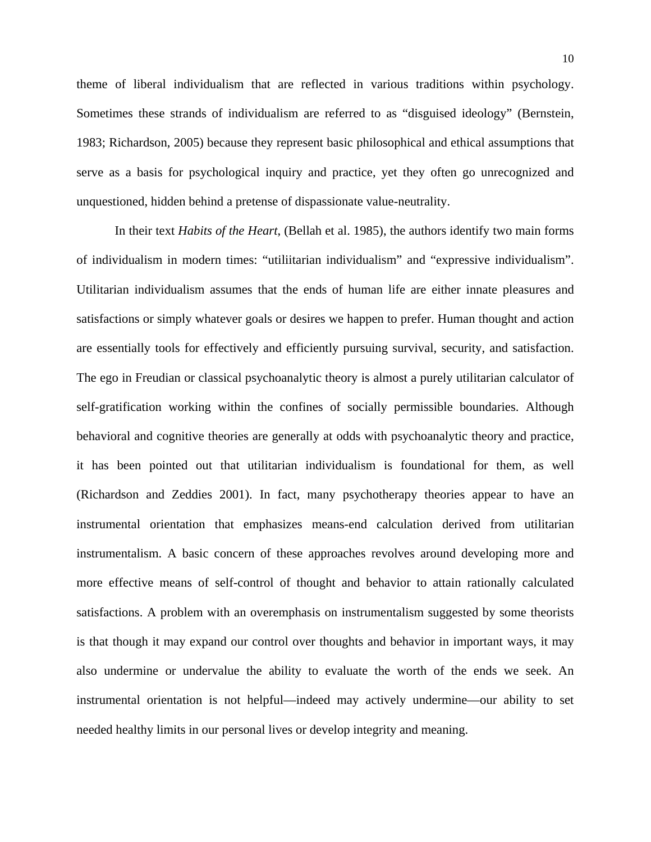theme of liberal individualism that are reflected in various traditions within psychology. Sometimes these strands of individualism are referred to as "disguised ideology" (Bernstein, 1983; Richardson, 2005) because they represent basic philosophical and ethical assumptions that serve as a basis for psychological inquiry and practice, yet they often go unrecognized and unquestioned, hidden behind a pretense of dispassionate value-neutrality.

In their text *Habits of the Heart*, (Bellah et al. 1985), the authors identify two main forms of individualism in modern times: "utiliitarian individualism" and "expressive individualism". Utilitarian individualism assumes that the ends of human life are either innate pleasures and satisfactions or simply whatever goals or desires we happen to prefer. Human thought and action are essentially tools for effectively and efficiently pursuing survival, security, and satisfaction. The ego in Freudian or classical psychoanalytic theory is almost a purely utilitarian calculator of self-gratification working within the confines of socially permissible boundaries. Although behavioral and cognitive theories are generally at odds with psychoanalytic theory and practice, it has been pointed out that utilitarian individualism is foundational for them, as well (Richardson and Zeddies 2001). In fact, many psychotherapy theories appear to have an instrumental orientation that emphasizes means-end calculation derived from utilitarian instrumentalism. A basic concern of these approaches revolves around developing more and more effective means of self-control of thought and behavior to attain rationally calculated satisfactions. A problem with an overemphasis on instrumentalism suggested by some theorists is that though it may expand our control over thoughts and behavior in important ways, it may also undermine or undervalue the ability to evaluate the worth of the ends we seek. An instrumental orientation is not helpful—indeed may actively undermine—our ability to set needed healthy limits in our personal lives or develop integrity and meaning.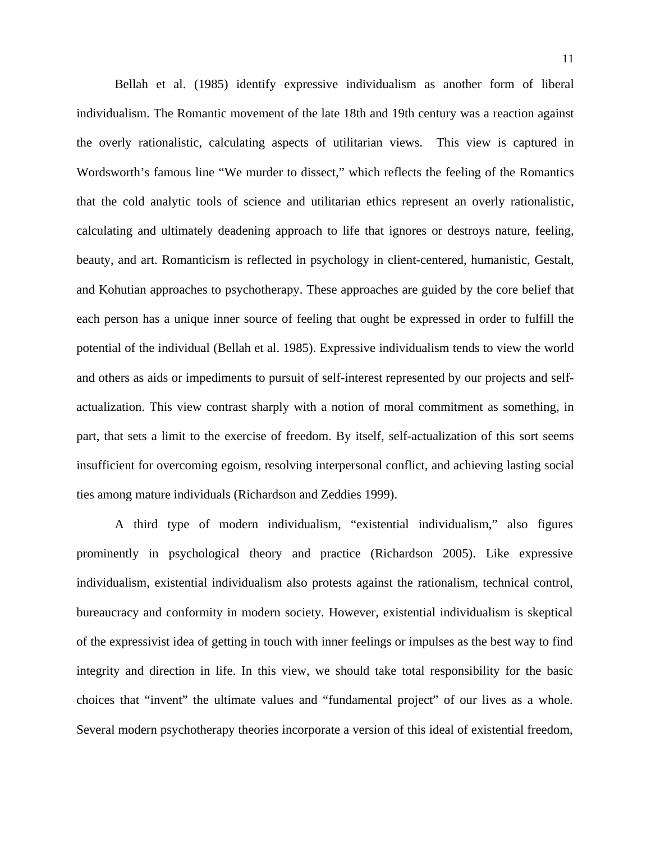Bellah et al. (1985) identify expressive individualism as another form of liberal individualism. The Romantic movement of the late 18th and 19th century was a reaction against the overly rationalistic, calculating aspects of utilitarian views. This view is captured in Wordsworth's famous line "We murder to dissect," which reflects the feeling of the Romantics that the cold analytic tools of science and utilitarian ethics represent an overly rationalistic, calculating and ultimately deadening approach to life that ignores or destroys nature, feeling, beauty, and art. Romanticism is reflected in psychology in client-centered, humanistic, Gestalt, and Kohutian approaches to psychotherapy. These approaches are guided by the core belief that each person has a unique inner source of feeling that ought be expressed in order to fulfill the potential of the individual (Bellah et al. 1985). Expressive individualism tends to view the world and others as aids or impediments to pursuit of self-interest represented by our projects and selfactualization. This view contrast sharply with a notion of moral commitment as something, in part, that sets a limit to the exercise of freedom. By itself, self-actualization of this sort seems insufficient for overcoming egoism, resolving interpersonal conflict, and achieving lasting social ties among mature individuals (Richardson and Zeddies 1999).

A third type of modern individualism, "existential individualism," also figures prominently in psychological theory and practice (Richardson 2005). Like expressive individualism, existential individualism also protests against the rationalism, technical control, bureaucracy and conformity in modern society. However, existential individualism is skeptical of the expressivist idea of getting in touch with inner feelings or impulses as the best way to find integrity and direction in life. In this view, we should take total responsibility for the basic choices that "invent" the ultimate values and "fundamental project" of our lives as a whole. Several modern psychotherapy theories incorporate a version of this ideal of existential freedom,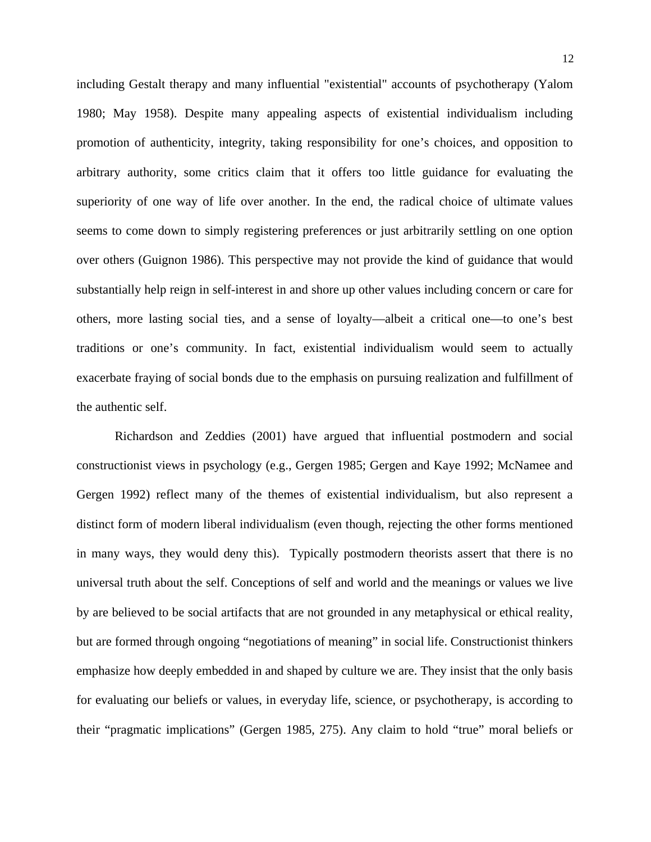including Gestalt therapy and many influential "existential" accounts of psychotherapy (Yalom 1980; May 1958). Despite many appealing aspects of existential individualism including promotion of authenticity, integrity, taking responsibility for one's choices, and opposition to arbitrary authority, some critics claim that it offers too little guidance for evaluating the superiority of one way of life over another. In the end, the radical choice of ultimate values seems to come down to simply registering preferences or just arbitrarily settling on one option over others (Guignon 1986). This perspective may not provide the kind of guidance that would substantially help reign in self-interest in and shore up other values including concern or care for others, more lasting social ties, and a sense of loyalty—albeit a critical one—to one's best traditions or one's community. In fact, existential individualism would seem to actually exacerbate fraying of social bonds due to the emphasis on pursuing realization and fulfillment of the authentic self.

 Richardson and Zeddies (2001) have argued that influential postmodern and social constructionist views in psychology (e.g., Gergen 1985; Gergen and Kaye 1992; McNamee and Gergen 1992) reflect many of the themes of existential individualism, but also represent a distinct form of modern liberal individualism (even though, rejecting the other forms mentioned in many ways, they would deny this). Typically postmodern theorists assert that there is no universal truth about the self. Conceptions of self and world and the meanings or values we live by are believed to be social artifacts that are not grounded in any metaphysical or ethical reality, but are formed through ongoing "negotiations of meaning" in social life. Constructionist thinkers emphasize how deeply embedded in and shaped by culture we are. They insist that the only basis for evaluating our beliefs or values, in everyday life, science, or psychotherapy, is according to their "pragmatic implications" (Gergen 1985, 275). Any claim to hold "true" moral beliefs or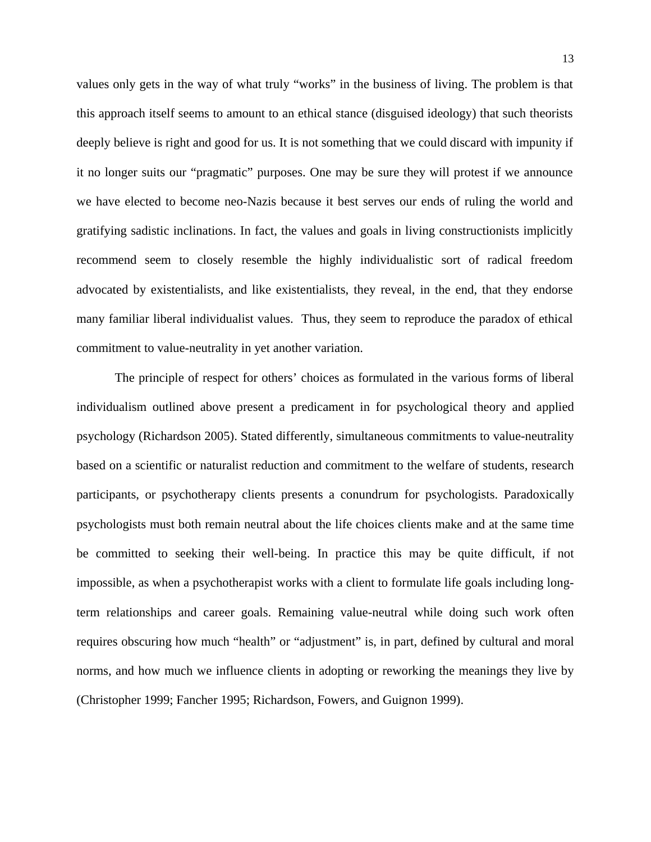values only gets in the way of what truly "works" in the business of living. The problem is that this approach itself seems to amount to an ethical stance (disguised ideology) that such theorists deeply believe is right and good for us. It is not something that we could discard with impunity if it no longer suits our "pragmatic" purposes. One may be sure they will protest if we announce we have elected to become neo-Nazis because it best serves our ends of ruling the world and gratifying sadistic inclinations. In fact, the values and goals in living constructionists implicitly recommend seem to closely resemble the highly individualistic sort of radical freedom advocated by existentialists, and like existentialists, they reveal, in the end, that they endorse many familiar liberal individualist values. Thus, they seem to reproduce the paradox of ethical commitment to value-neutrality in yet another variation.

The principle of respect for others' choices as formulated in the various forms of liberal individualism outlined above present a predicament in for psychological theory and applied psychology (Richardson 2005). Stated differently, simultaneous commitments to value-neutrality based on a scientific or naturalist reduction and commitment to the welfare of students, research participants, or psychotherapy clients presents a conundrum for psychologists. Paradoxically psychologists must both remain neutral about the life choices clients make and at the same time be committed to seeking their well-being. In practice this may be quite difficult, if not impossible, as when a psychotherapist works with a client to formulate life goals including longterm relationships and career goals. Remaining value-neutral while doing such work often requires obscuring how much "health" or "adjustment" is, in part, defined by cultural and moral norms, and how much we influence clients in adopting or reworking the meanings they live by (Christopher 1999; Fancher 1995; Richardson, Fowers, and Guignon 1999).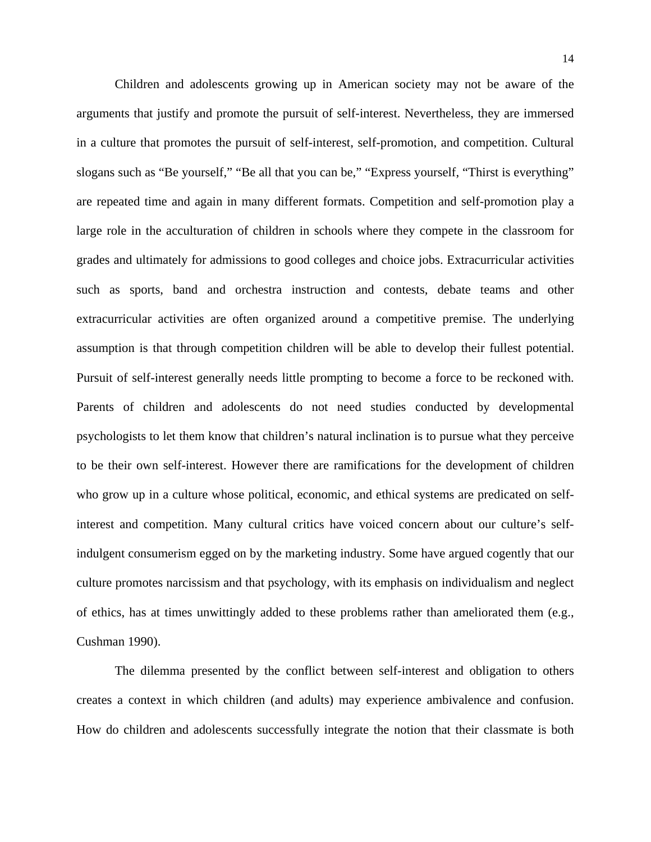Children and adolescents growing up in American society may not be aware of the arguments that justify and promote the pursuit of self-interest. Nevertheless, they are immersed in a culture that promotes the pursuit of self-interest, self-promotion, and competition. Cultural slogans such as "Be yourself," "Be all that you can be," "Express yourself, "Thirst is everything" are repeated time and again in many different formats. Competition and self-promotion play a large role in the acculturation of children in schools where they compete in the classroom for grades and ultimately for admissions to good colleges and choice jobs. Extracurricular activities such as sports, band and orchestra instruction and contests, debate teams and other extracurricular activities are often organized around a competitive premise. The underlying assumption is that through competition children will be able to develop their fullest potential. Pursuit of self-interest generally needs little prompting to become a force to be reckoned with. Parents of children and adolescents do not need studies conducted by developmental psychologists to let them know that children's natural inclination is to pursue what they perceive to be their own self-interest. However there are ramifications for the development of children who grow up in a culture whose political, economic, and ethical systems are predicated on selfinterest and competition. Many cultural critics have voiced concern about our culture's selfindulgent consumerism egged on by the marketing industry. Some have argued cogently that our culture promotes narcissism and that psychology, with its emphasis on individualism and neglect of ethics, has at times unwittingly added to these problems rather than ameliorated them (e.g., Cushman 1990).

The dilemma presented by the conflict between self-interest and obligation to others creates a context in which children (and adults) may experience ambivalence and confusion. How do children and adolescents successfully integrate the notion that their classmate is both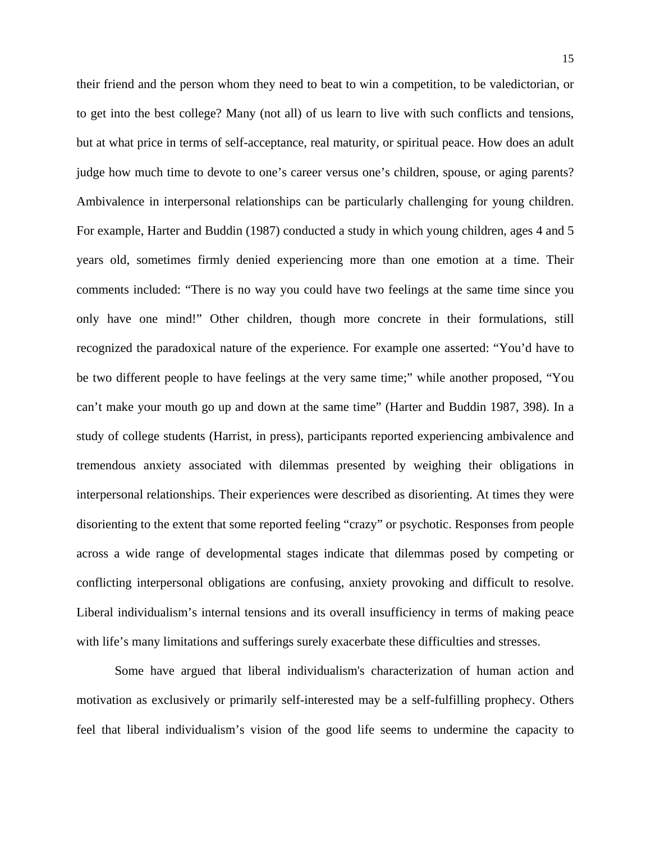their friend and the person whom they need to beat to win a competition, to be valedictorian, or to get into the best college? Many (not all) of us learn to live with such conflicts and tensions, but at what price in terms of self-acceptance, real maturity, or spiritual peace. How does an adult judge how much time to devote to one's career versus one's children, spouse, or aging parents? Ambivalence in interpersonal relationships can be particularly challenging for young children. For example, Harter and Buddin (1987) conducted a study in which young children, ages 4 and 5 years old, sometimes firmly denied experiencing more than one emotion at a time. Their comments included: "There is no way you could have two feelings at the same time since you only have one mind!" Other children, though more concrete in their formulations, still recognized the paradoxical nature of the experience. For example one asserted: "You'd have to be two different people to have feelings at the very same time;" while another proposed, "You can't make your mouth go up and down at the same time" (Harter and Buddin 1987, 398). In a study of college students (Harrist, in press), participants reported experiencing ambivalence and tremendous anxiety associated with dilemmas presented by weighing their obligations in interpersonal relationships. Their experiences were described as disorienting. At times they were disorienting to the extent that some reported feeling "crazy" or psychotic. Responses from people across a wide range of developmental stages indicate that dilemmas posed by competing or conflicting interpersonal obligations are confusing, anxiety provoking and difficult to resolve. Liberal individualism's internal tensions and its overall insufficiency in terms of making peace with life's many limitations and sufferings surely exacerbate these difficulties and stresses.

Some have argued that liberal individualism's characterization of human action and motivation as exclusively or primarily self-interested may be a self-fulfilling prophecy. Others feel that liberal individualism's vision of the good life seems to undermine the capacity to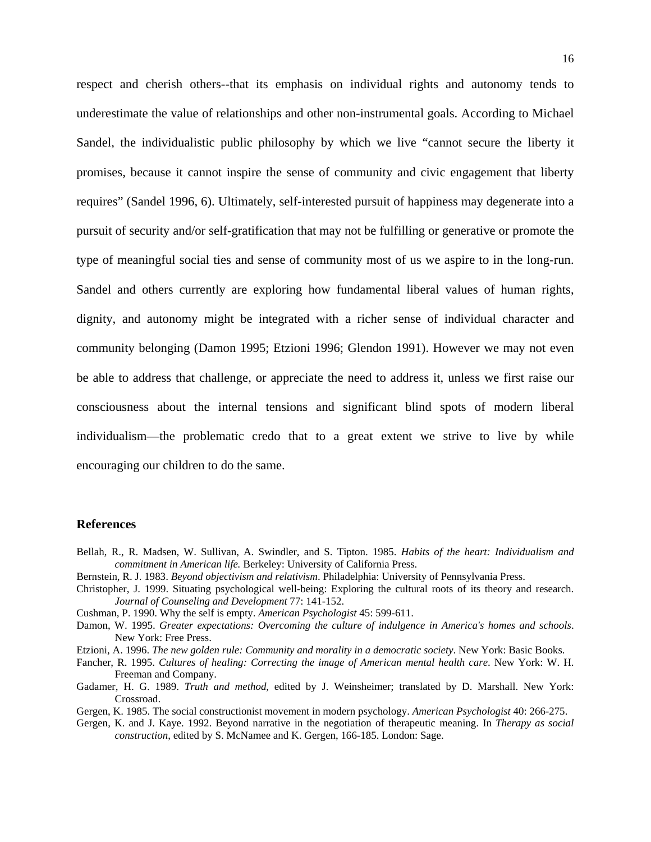respect and cherish others--that its emphasis on individual rights and autonomy tends to underestimate the value of relationships and other non-instrumental goals. According to Michael Sandel, the individualistic public philosophy by which we live "cannot secure the liberty it promises, because it cannot inspire the sense of community and civic engagement that liberty requires" (Sandel 1996, 6). Ultimately, self-interested pursuit of happiness may degenerate into a pursuit of security and/or self-gratification that may not be fulfilling or generative or promote the type of meaningful social ties and sense of community most of us we aspire to in the long-run. Sandel and others currently are exploring how fundamental liberal values of human rights, dignity, and autonomy might be integrated with a richer sense of individual character and community belonging (Damon 1995; Etzioni 1996; Glendon 1991). However we may not even be able to address that challenge, or appreciate the need to address it, unless we first raise our consciousness about the internal tensions and significant blind spots of modern liberal individualism—the problematic credo that to a great extent we strive to live by while encouraging our children to do the same.

## **References**

- Bellah, R., R. Madsen, W. Sullivan, A. Swindler, and S. Tipton. 1985. *Habits of the heart: Individualism and commitment in American life.* Berkeley: University of California Press.
- Bernstein, R. J. 1983. *Beyond objectivism and relativism*. Philadelphia: University of Pennsylvania Press.
- Christopher, J. 1999. Situating psychological well-being: Exploring the cultural roots of its theory and research. *Journal of Counseling and Development* 77: 141-152.
- Cushman, P. 1990. Why the self is empty. *American Psychologist* 45: 599-611.
- Damon, W. 1995. *Greater expectations: Overcoming the culture of indulgence in America's homes and schools*. New York: Free Press.
- Etzioni, A. 1996. *The new golden rule: Community and morality in a democratic society*. New York: Basic Books.
- Fancher, R. 1995. *Cultures of healing: Correcting the image of American mental health care*. New York: W. H. Freeman and Company.
- Gadamer, H. G. 1989. *Truth and method*, edited by J. Weinsheimer; translated by D. Marshall. New York: Crossroad.
- Gergen, K. 1985. The social constructionist movement in modern psychology. *American Psychologist* 40: 266-275.
- Gergen, K. and J. Kaye. 1992. Beyond narrative in the negotiation of therapeutic meaning. In *Therapy as social construction*, edited by S. McNamee and K. Gergen, 166-185. London: Sage.